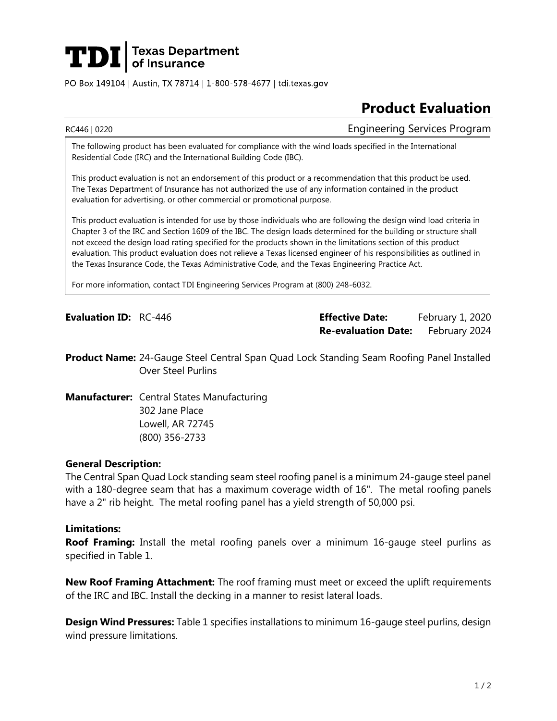# **TDI** Texas Department

PO Box 149104 | Austin, TX 78714 | 1-800-578-4677 | tdi.texas.gov

## **Product Evaluation**

RC446 | 0220 Engineering Services Program

The following product has been evaluated for compliance with the wind loads specified in the International Residential Code (IRC) and the International Building Code (IBC).

This product evaluation is not an endorsement of this product or a recommendation that this product be used. The Texas Department of Insurance has not authorized the use of any information contained in the product evaluation for advertising, or other commercial or promotional purpose.

This product evaluation is intended for use by those individuals who are following the design wind load criteria in Chapter 3 of the IRC and Section 1609 of the IBC. The design loads determined for the building or structure shall not exceed the design load rating specified for the products shown in the limitations section of this product evaluation. This product evaluation does not relieve a Texas licensed engineer of his responsibilities as outlined in the Texas Insurance Code, the Texas Administrative Code, and the Texas Engineering Practice Act.

For more information, contact TDI Engineering Services Program at (800) 248-6032.

**Evaluation ID:** RC-446 **Effective Date:** February 1, 2020 **Re-evaluation Date:** February 2024

**Product Name:** 24-Gauge Steel Central Span Quad Lock Standing Seam Roofing Panel Installed Over Steel Purlins

**Manufacturer:** Central States Manufacturing 302 Jane Place Lowell, AR 72745 (800) 356-2733

### **General Description:**

The Central Span Quad Lock standing seam steel roofing panel is a minimum 24-gauge steel panel with a 180-degree seam that has a maximum coverage width of 16". The metal roofing panels have a 2" rib height. The metal roofing panel has a yield strength of 50,000 psi.

#### **Limitations:**

**Roof Framing:** Install the metal roofing panels over a minimum 16-gauge steel purlins as specified in Table 1.

**New Roof Framing Attachment:** The roof framing must meet or exceed the uplift requirements of the IRC and IBC. Install the decking in a manner to resist lateral loads.

**Design Wind Pressures:** Table 1 specifies installations to minimum 16-gauge steel purlins, design wind pressure limitations.